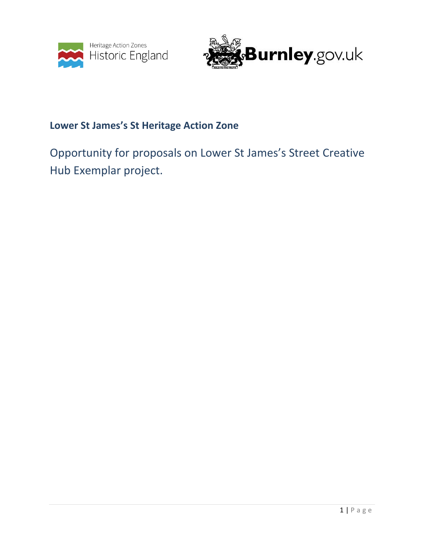



## **Lower St James's St Heritage Action Zone**

# Opportunity for proposals on Lower St James's Street Creative Hub Exemplar project.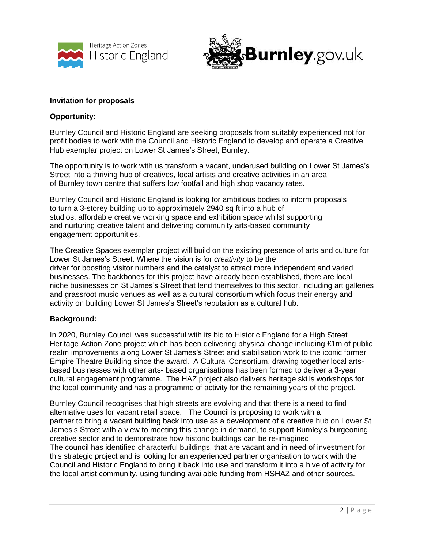



#### **Invitation for proposals**

#### **Opportunity:**

Burnley Council and Historic England are seeking proposals from suitably experienced not for profit bodies to work with the Council and Historic England to develop and operate a Creative Hub exemplar project on Lower St James's Street, Burnley.

The opportunity is to work with us transform a vacant, underused building on Lower St James's Street into a thriving hub of creatives, local artists and creative activities in an area of Burnley town centre that suffers low footfall and high shop vacancy rates.

Burnley Council and Historic England is looking for ambitious bodies to inform proposals to turn a 3-storey building up to approximately 2940 sq ft into a hub of studios, affordable creative working space and exhibition space whilst supporting and nurturing creative talent and delivering community arts-based community engagement opportunities.

The Creative Spaces exemplar project will build on the existing presence of arts and culture for Lower St James's Street. Where the vision is for *creativity* to be the driver for boosting visitor numbers and the catalyst to attract more independent and varied businesses. The backbones for this project have already been established, there are local, niche businesses on St James's Street that lend themselves to this sector, including art galleries and grassroot music venues as well as a cultural consortium which focus their energy and activity on building Lower St James's Street's reputation as a cultural hub.

#### **Background:**

In 2020, Burnley Council was successful with its bid to Historic England for a High Street Heritage Action Zone project which has been delivering physical change including £1m of public realm improvements along Lower St James's Street and stabilisation work to the iconic former Empire Theatre Building since the award. A Cultural Consortium, drawing together local artsbased businesses with other arts- based organisations has been formed to deliver a 3-year cultural engagement programme. The HAZ project also delivers heritage skills workshops for the local community and has a programme of activity for the remaining years of the project.

Burnley Council recognises that high streets are evolving and that there is a need to find alternative uses for vacant retail space. The Council is proposing to work with a partner to bring a vacant building back into use as a development of a creative hub on Lower St James's Street with a view to meeting this change in demand, to support Burnley's burgeoning creative sector and to demonstrate how historic buildings can be re-imagined The council has identified characterful buildings, that are vacant and in need of investment for this strategic project and is looking for an experienced partner organisation to work with the Council and Historic England to bring it back into use and transform it into a hive of activity for the local artist community, using funding available funding from HSHAZ and other sources.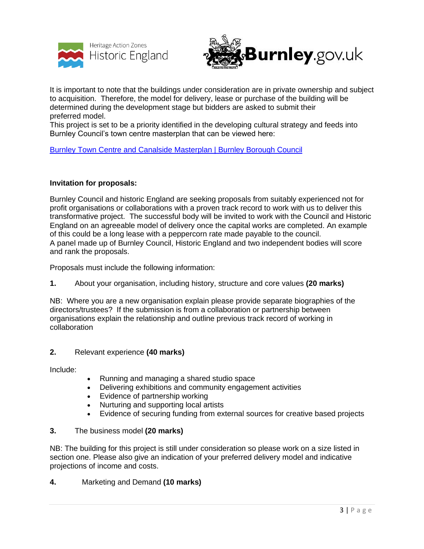



It is important to note that the buildings under consideration are in private ownership and subject to acquisition. Therefore, the model for delivery, lease or purchase of the building will be determined during the development stage but bidders are asked to submit their preferred model.

This project is set to be a priority identified in the developing cultural strategy and feeds into Burnley Council's town centre masterplan that can be viewed here:

#### [Burnley Town Centre and Canalside Masterplan | Burnley Borough Council](https://www.burnley.gov.uk/about-council/our-strategies-and-policies/burnley-town-centre-and-canalside-masterplan)

#### **Invitation for proposals:**

Burnley Council and historic England are seeking proposals from suitably experienced not for profit organisations or collaborations with a proven track record to work with us to deliver this transformative project. The successful body will be invited to work with the Council and Historic England on an agreeable model of delivery once the capital works are completed. An example of this could be a long lease with a peppercorn rate made payable to the council. A panel made up of Burnley Council, Historic England and two independent bodies will score and rank the proposals.

Proposals must include the following information:

**1.** About your organisation, including history, structure and core values **(20 marks)**

NB: Where you are a new organisation explain please provide separate biographies of the directors/trustees? If the submission is from a collaboration or partnership between organisations explain the relationship and outline previous track record of working in collaboration

#### **2.** Relevant experience **(40 marks)**

Include:

- Running and managing a shared studio space
- Delivering exhibitions and community engagement activities
- Evidence of partnership working
- Nurturing and supporting local artists
- Evidence of securing funding from external sources for creative based projects

#### **3.** The business model **(20 marks)**

NB: The building for this project is still under consideration so please work on a size listed in section one. Please also give an indication of your preferred delivery model and indicative projections of income and costs.

**4.** Marketing and Demand **(10 marks)**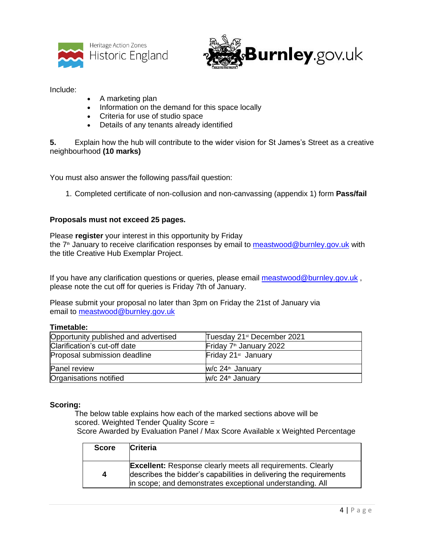



Include:

- A marketing plan
- Information on the demand for this space locally
- Criteria for use of studio space
- Details of any tenants already identified

**5.** Explain how the hub will contribute to the wider vision for St James's Street as a creative neighbourhood **(10 marks)**

You must also answer the following pass/fail question:

1. Completed certificate of non-collusion and non-canvassing (appendix 1) form **Pass/fail**

#### **Proposals must not exceed 25 pages.**

Please **register** your interest in this opportunity by Friday the 7<sup>th</sup> January to receive clarification responses by email to [meastwood@burnley.gov.uk](mailto:meastwood@burnley.gov.uk) with the title Creative Hub Exemplar Project.

If you have any clarification questions or queries, please email [meastwood@burnley.gov.uk](mailto:meastwood@burnley.gov.uk), please note the cut off for queries is Friday 7th of January.

Please submit your proposal no later than 3pm on Friday the 21st of January via email to [meastwood@burnley.gov.uk](mailto:meastwood@burnley.gov.uk)

#### **Timetable:**

| Opportunity published and advertised | Tuesday 21 <sup>st</sup> December 2021 |
|--------------------------------------|----------------------------------------|
| Clarification's cut-off date         | Friday 7 <sup>th</sup> January 2022    |
| Proposal submission deadline         | Friday 21 <sup>st</sup> January        |
| Panel review                         | w/c 24 <sup>th</sup> January           |
| Organisations notified               | W/c 24 <sup>th</sup> January           |

#### **Scoring:**

The below table explains how each of the marked sections above will be scored. Weighted Tender Quality Score = Score Awarded by Evaluation Panel / Max Score Available x Weighted Percentage

| <b>Score</b> | <b>Criteria</b>                                                                                                                                                                                       |
|--------------|-------------------------------------------------------------------------------------------------------------------------------------------------------------------------------------------------------|
| 4            | <b>Excellent:</b> Response clearly meets all requirements. Clearly<br>describes the bidder's capabilities in delivering the requirements<br>in scope; and demonstrates exceptional understanding. All |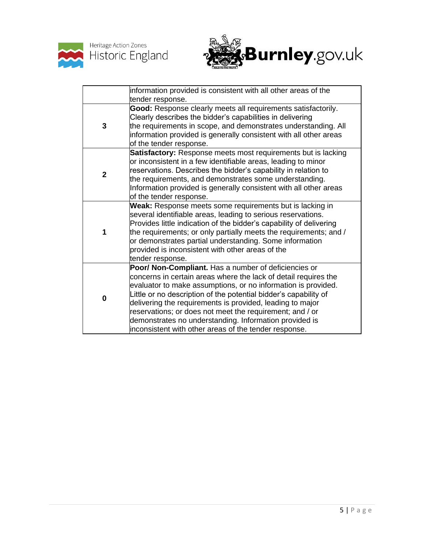



|                | information provided is consistent with all other areas of the<br>tender response.                                                                                                                                                                                                                                                                                                                                                                                                                       |
|----------------|----------------------------------------------------------------------------------------------------------------------------------------------------------------------------------------------------------------------------------------------------------------------------------------------------------------------------------------------------------------------------------------------------------------------------------------------------------------------------------------------------------|
| 3              | Good: Response clearly meets all requirements satisfactorily.<br>Clearly describes the bidder's capabilities in delivering<br>the requirements in scope, and demonstrates understanding. All<br>information provided is generally consistent with all other areas<br>of the tender response.                                                                                                                                                                                                             |
| $\overline{2}$ | Satisfactory: Response meets most requirements but is lacking<br>or inconsistent in a few identifiable areas, leading to minor<br>reservations. Describes the bidder's capability in relation to<br>the requirements, and demonstrates some understanding.<br>Information provided is generally consistent with all other areas<br>of the tender response.                                                                                                                                               |
| 1              | Weak: Response meets some requirements but is lacking in<br>several identifiable areas, leading to serious reservations.<br>Provides little indication of the bidder's capability of delivering<br>the requirements; or only partially meets the requirements; and /<br>or demonstrates partial understanding. Some information<br>provided is inconsistent with other areas of the<br>tender response.                                                                                                  |
| 0              | Poor/ Non-Compliant. Has a number of deficiencies or<br>concerns in certain areas where the lack of detail requires the<br>evaluator to make assumptions, or no information is provided.<br>Little or no description of the potential bidder's capability of<br>delivering the requirements is provided, leading to major<br>reservations; or does not meet the requirement; and / or<br>demonstrates no understanding. Information provided is<br>inconsistent with other areas of the tender response. |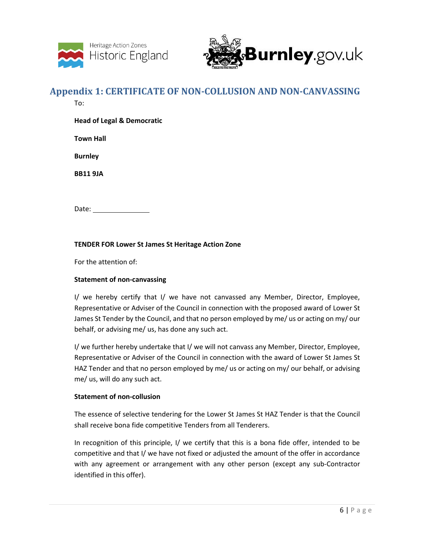



### **Appendix 1: CERTIFICATE OF NON-COLLUSION AND NON-CANVASSING**

To:

**Head of Legal & Democratic** 

**Town Hall**

**Burnley**

**BB11 9JA**

Date: when the state of the state of the state of the state of the state of the state of the state of the state of the state of the state of the state of the state of the state of the state of the state of the state of the

#### **TENDER FOR Lower St James St Heritage Action Zone**

For the attention of:

#### **Statement of non-canvassing**

I/ we hereby certify that I/ we have not canvassed any Member, Director, Employee, Representative or Adviser of the Council in connection with the proposed award of Lower St James St Tender by the Council, and that no person employed by me/ us or acting on my/ our behalf, or advising me/ us, has done any such act.

I/ we further hereby undertake that I/ we will not canvass any Member, Director, Employee, Representative or Adviser of the Council in connection with the award of Lower St James St HAZ Tender and that no person employed by me/ us or acting on my/ our behalf, or advising me/ us, will do any such act.

#### **Statement of non-collusion**

The essence of selective tendering for the Lower St James St HAZ Tender is that the Council shall receive bona fide competitive Tenders from all Tenderers.

In recognition of this principle, I/ we certify that this is a bona fide offer, intended to be competitive and that I/ we have not fixed or adjusted the amount of the offer in accordance with any agreement or arrangement with any other person (except any sub-Contractor identified in this offer).